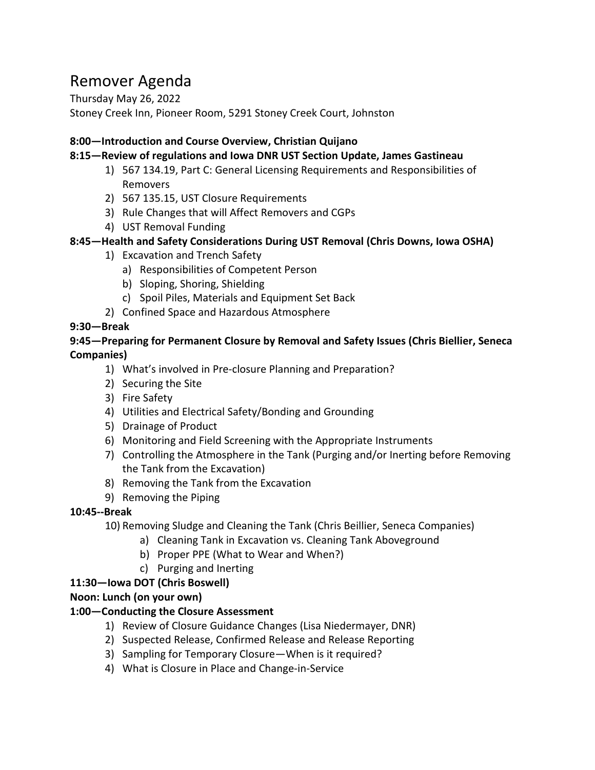# Remover Agenda

Thursday May 26, 2022 Stoney Creek Inn, Pioneer Room, 5291 Stoney Creek Court, Johnston

## **8:00—Introduction and Course Overview, Christian Quijano**

## **8:15—Review of regulations and Iowa DNR UST Section Update, James Gastineau**

- 1) 567 134.19, Part C: General Licensing Requirements and Responsibilities of Removers
- 2) 567 135.15, UST Closure Requirements
- 3) Rule Changes that will Affect Removers and CGPs
- 4) UST Removal Funding

## **8:45—Health and Safety Considerations During UST Removal (Chris Downs, Iowa OSHA)**

- 1) Excavation and Trench Safety
	- a) Responsibilities of Competent Person
	- b) Sloping, Shoring, Shielding
	- c) Spoil Piles, Materials and Equipment Set Back
- 2) Confined Space and Hazardous Atmosphere

## **9:30—Break**

## **9:45—Preparing for Permanent Closure by Removal and Safety Issues (Chris Biellier, Seneca Companies)**

- 1) What's involved in Pre-closure Planning and Preparation?
- 2) Securing the Site
- 3) Fire Safety
- 4) Utilities and Electrical Safety/Bonding and Grounding
- 5) Drainage of Product
- 6) Monitoring and Field Screening with the Appropriate Instruments
- 7) Controlling the Atmosphere in the Tank (Purging and/or Inerting before Removing the Tank from the Excavation)
- 8) Removing the Tank from the Excavation
- 9) Removing the Piping

# **10:45--Break**

10) Removing Sludge and Cleaning the Tank (Chris Beillier, Seneca Companies)

- a) Cleaning Tank in Excavation vs. Cleaning Tank Aboveground
- b) Proper PPE (What to Wear and When?)
- c) Purging and Inerting

# **11:30—Iowa DOT (Chris Boswell)**

## **Noon: Lunch (on your own)**

# **1:00—Conducting the Closure Assessment**

- 1) Review of Closure Guidance Changes (Lisa Niedermayer, DNR)
- 2) Suspected Release, Confirmed Release and Release Reporting
- 3) Sampling for Temporary Closure—When is it required?
- 4) What is Closure in Place and Change-in-Service